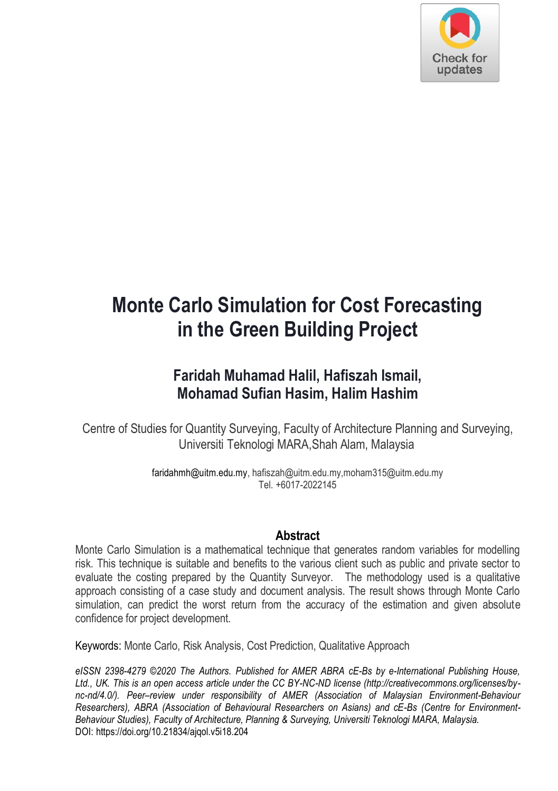

# **Monte Carlo Simulation for Cost Forecasting in the Green Building Project**

# **Faridah Muhamad Halil, Hafiszah Ismail, Mohamad Sufian Hasim, Halim Hashim**

Centre of Studies for Quantity Surveying, Faculty of Architecture Planning and Surveying, Universiti Teknologi MARA,Shah Alam, Malaysia

> faridahmh@uitm.edu.my, hafiszah@uitm.edu.my,moham315@uitm.edu.my Tel. +6017-2022145

#### **Abstract**

Monte Carlo Simulation is a mathematical technique that generates random variables for modelling risk. This technique is suitable and benefits to the various client such as public and private sector to evaluate the costing prepared by the Quantity Surveyor. The methodology used is a qualitative approach consisting of a case study and document analysis. The result shows through Monte Carlo simulation, can predict the worst return from the accuracy of the estimation and given absolute confidence for project development.

Keywords: Monte Carlo, Risk Analysis, Cost Prediction, Qualitative Approach

*eISSN 2398-4279 ©2020 The Authors. Published for AMER ABRA cE-Bs by e-International Publishing House, Ltd., UK. This is an open access article under the CC BY-NC-ND license (http://creativecommons.org/licenses/bync-nd/4.0/). Peer–review under responsibility of AMER (Association of Malaysian Environment-Behaviour Researchers), ABRA (Association of Behavioural Researchers on Asians) and cE-Bs (Centre for Environment-Behaviour Studies), Faculty of Architecture, Planning & Surveying, Universiti Teknologi MARA, Malaysia.* DOI: https://doi.org/10.21834/ajqol.v5i18.204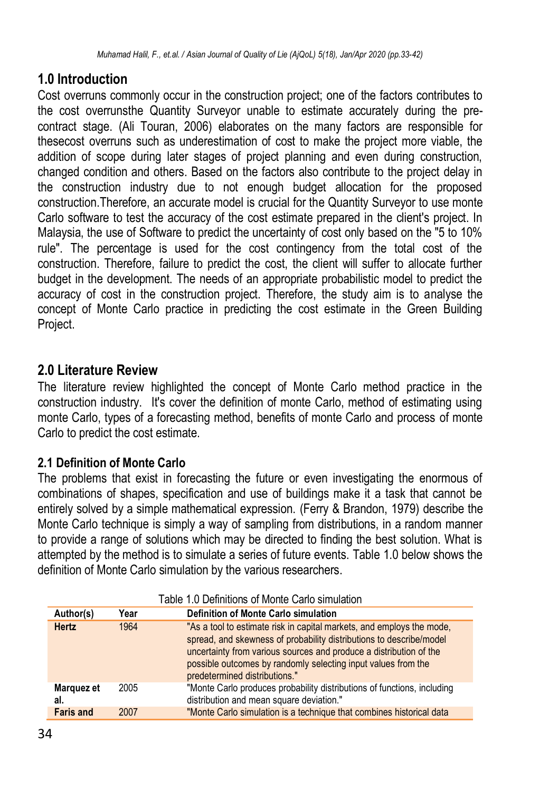# **1.0 Introduction**

Cost overruns commonly occur in the construction project; one of the factors contributes to the cost overrunsthe Quantity Surveyor unable to estimate accurately during the precontract stage. (Ali Touran, 2006) elaborates on the many factors are responsible for thesecost overruns such as underestimation of cost to make the project more viable, the addition of scope during later stages of project planning and even during construction, changed condition and others. Based on the factors also contribute to the project delay in the construction industry due to not enough budget allocation for the proposed construction.Therefore, an accurate model is crucial for the Quantity Surveyor to use monte Carlo software to test the accuracy of the cost estimate prepared in the client's project. In Malaysia, the use of Software to predict the uncertainty of cost only based on the "5 to 10% rule". The percentage is used for the cost contingency from the total cost of the construction. Therefore, failure to predict the cost, the client will suffer to allocate further budget in the development. The needs of an appropriate probabilistic model to predict the accuracy of cost in the construction project. Therefore, the study aim is to analyse the concept of Monte Carlo practice in predicting the cost estimate in the Green Building Project.

# **2.0 Literature Review**

The literature review highlighted the concept of Monte Carlo method practice in the construction industry. It's cover the definition of monte Carlo, method of estimating using monte Carlo, types of a forecasting method, benefits of monte Carlo and process of monte Carlo to predict the cost estimate.

# **2.1 Definition of Monte Carlo**

The problems that exist in forecasting the future or even investigating the enormous of combinations of shapes, specification and use of buildings make it a task that cannot be entirely solved by a simple mathematical expression. (Ferry & Brandon, 1979) describe the Monte Carlo technique is simply a way of sampling from distributions, in a random manner to provide a range of solutions which may be directed to finding the best solution. What is attempted by the method is to simulate a series of future events. Table 1.0 below shows the definition of Monte Carlo simulation by the various researchers.

| Author(s)         | Year | Definition of Monte Carlo simulation                                                                                                                                                                                                                                                                                 |
|-------------------|------|----------------------------------------------------------------------------------------------------------------------------------------------------------------------------------------------------------------------------------------------------------------------------------------------------------------------|
| <b>Hertz</b>      | 1964 | "As a tool to estimate risk in capital markets, and employs the mode,<br>spread, and skewness of probability distributions to describe/model<br>uncertainty from various sources and produce a distribution of the<br>possible outcomes by randomly selecting input values from the<br>predetermined distributions." |
| Marquez et<br>al. | 2005 | "Monte Carlo produces probability distributions of functions, including<br>distribution and mean square deviation."                                                                                                                                                                                                  |
| <b>Faris and</b>  | 2007 | "Monte Carlo simulation is a technique that combines historical data                                                                                                                                                                                                                                                 |

Table 1.0 Definitions of Monte Carlo simulation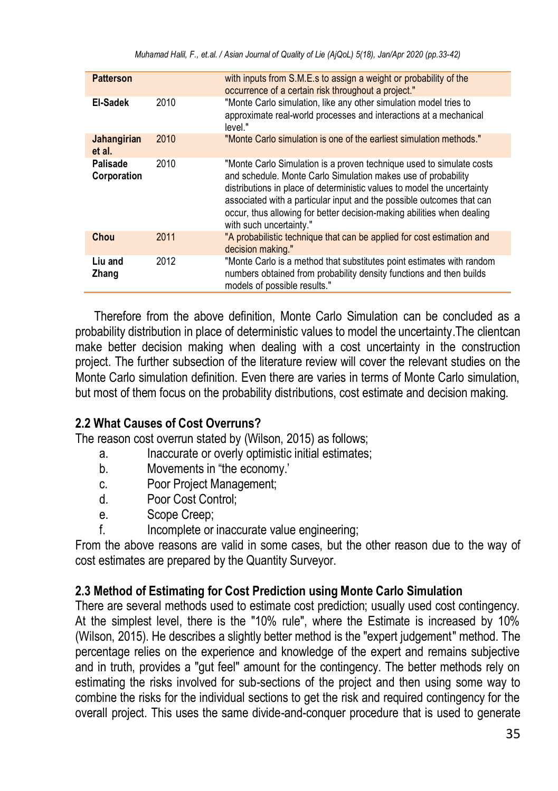| <b>Patterson</b>        |      | with inputs from S.M.E.s to assign a weight or probability of the<br>occurrence of a certain risk throughout a project."                                                                                                                                                                                                                                                                       |
|-------------------------|------|------------------------------------------------------------------------------------------------------------------------------------------------------------------------------------------------------------------------------------------------------------------------------------------------------------------------------------------------------------------------------------------------|
| El-Sadek                | 2010 | "Monte Carlo simulation, like any other simulation model tries to<br>approximate real-world processes and interactions at a mechanical<br>level."                                                                                                                                                                                                                                              |
| Jahangirian<br>et al.   | 2010 | "Monte Carlo simulation is one of the earliest simulation methods."                                                                                                                                                                                                                                                                                                                            |
| Palisade<br>Corporation | 2010 | "Monte Carlo Simulation is a proven technique used to simulate costs<br>and schedule. Monte Carlo Simulation makes use of probability<br>distributions in place of deterministic values to model the uncertainty<br>associated with a particular input and the possible outcomes that can<br>occur, thus allowing for better decision-making abilities when dealing<br>with such uncertainty." |
| Chou                    | 2011 | "A probabilistic technique that can be applied for cost estimation and<br>decision making."                                                                                                                                                                                                                                                                                                    |
| Liu and<br>Zhang        | 2012 | "Monte Carlo is a method that substitutes point estimates with random<br>numbers obtained from probability density functions and then builds<br>models of possible results."                                                                                                                                                                                                                   |

Therefore from the above definition, Monte Carlo Simulation can be concluded as a probability distribution in place of deterministic values to model the uncertainty.The clientcan make better decision making when dealing with a cost uncertainty in the construction project. The further subsection of the literature review will cover the relevant studies on the Monte Carlo simulation definition. Even there are varies in terms of Monte Carlo simulation, but most of them focus on the probability distributions, cost estimate and decision making.

# **2.2 What Causes of Cost Overruns?**

The reason cost overrun stated by (Wilson, 2015) as follows;

- a. Inaccurate or overly optimistic initial estimates;
- b. Movements in "the economy.'
- c. Poor Project Management;
- d. Poor Cost Control;
- e. Scope Creep;
- f. Incomplete or inaccurate value engineering;

From the above reasons are valid in some cases, but the other reason due to the way of cost estimates are prepared by the Quantity Surveyor.

### **2.3 Method of Estimating for Cost Prediction using Monte Carlo Simulation**

There are several methods used to estimate cost prediction; usually used cost contingency. At the simplest level, there is the "10% rule", where the Estimate is increased by 10% (Wilson, 2015). He describes a slightly better method is the "expert judgement" method. The percentage relies on the experience and knowledge of the expert and remains subjective and in truth, provides a "gut feel" amount for the contingency. The better methods rely on estimating the risks involved for sub-sections of the project and then using some way to combine the risks for the individual sections to get the risk and required contingency for the overall project. This uses the same divide-and-conquer procedure that is used to generate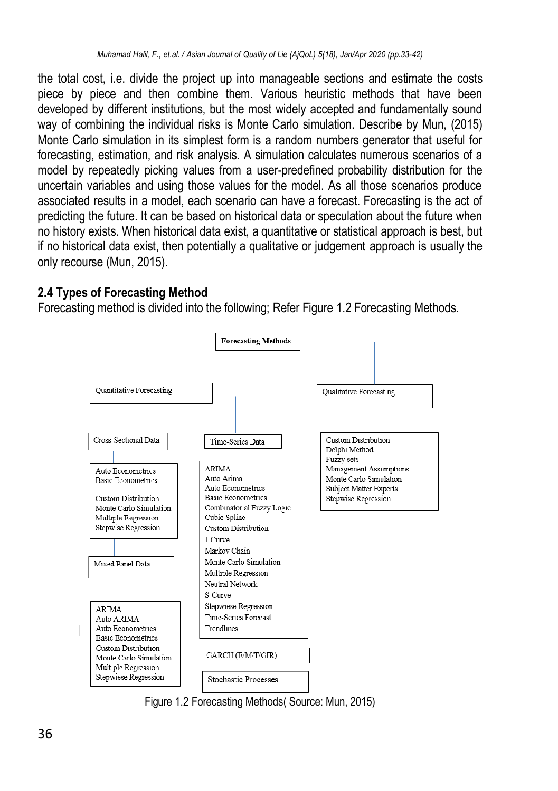the total cost, i.e. divide the project up into manageable sections and estimate the costs piece by piece and then combine them. Various heuristic methods that have been developed by different institutions, but the most widely accepted and fundamentally sound way of combining the individual risks is Monte Carlo simulation. Describe by Mun, (2015) Monte Carlo simulation in its simplest form is a random numbers generator that useful for forecasting, estimation, and risk analysis. A simulation calculates numerous scenarios of a model by repeatedly picking values from a user-predefined probability distribution for the uncertain variables and using those values for the model. As all those scenarios produce associated results in a model, each scenario can have a forecast. Forecasting is the act of predicting the future. It can be based on historical data or speculation about the future when no history exists. When historical data exist, a quantitative or statistical approach is best, but if no historical data exist, then potentially a qualitative or judgement approach is usually the only recourse (Mun, 2015).

### **2.4 Types of Forecasting Method**

Forecasting method is divided into the following; Refer Figure 1.2 Forecasting Methods.



Figure 1.2 Forecasting Methods( Source: Mun, 2015)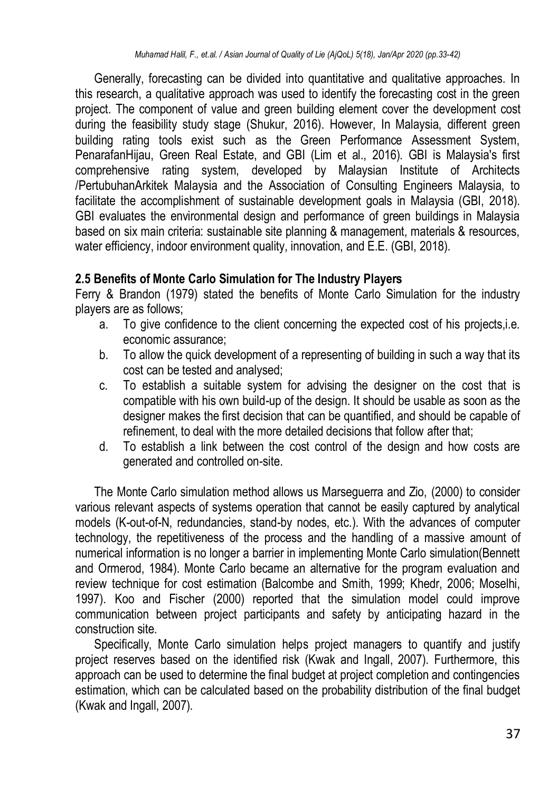Generally, forecasting can be divided into quantitative and qualitative approaches. In this research, a qualitative approach was used to identify the forecasting cost in the green project. The component of value and green building element cover the development cost during the feasibility study stage (Shukur, 2016). However, In Malaysia, different green building rating tools exist such as the Green Performance Assessment System, PenarafanHijau, Green Real Estate, and GBI (Lim et al., 2016). GBI is Malaysia's first comprehensive rating system, developed by Malaysian Institute of Architects /PertubuhanArkitek Malaysia and the Association of Consulting Engineers Malaysia, to facilitate the accomplishment of sustainable development goals in Malaysia (GBI, 2018). GBI evaluates the environmental design and performance of green buildings in Malaysia based on six main criteria: sustainable site planning & management, materials & resources, water efficiency, indoor environment quality, innovation, and E.E. (GBI, 2018).

### **2.5 Benefits of Monte Carlo Simulation for The Industry Players**

Ferry & Brandon (1979) stated the benefits of Monte Carlo Simulation for the industry players are as follows;

- a. To give confidence to the client concerning the expected cost of his projects,i.e. economic assurance;
- b. To allow the quick development of a representing of building in such a way that its cost can be tested and analysed;
- c. To establish a suitable system for advising the designer on the cost that is compatible with his own build-up of the design. It should be usable as soon as the designer makes the first decision that can be quantified, and should be capable of refinement, to deal with the more detailed decisions that follow after that;
- d. To establish a link between the cost control of the design and how costs are generated and controlled on-site.

The Monte Carlo simulation method allows us Marseguerra and Zio, (2000) to consider various relevant aspects of systems operation that cannot be easily captured by analytical models (K-out-of-N, redundancies, stand-by nodes, etc.). With the advances of computer technology, the repetitiveness of the process and the handling of a massive amount of numerical information is no longer a barrier in implementing Monte Carlo simulation(Bennett and Ormerod, 1984). Monte Carlo became an alternative for the program evaluation and review technique for cost estimation (Balcombe and Smith, 1999; Khedr, 2006; Moselhi, 1997). Koo and Fischer (2000) reported that the simulation model could improve communication between project participants and safety by anticipating hazard in the construction site.

Specifically, Monte Carlo simulation helps project managers to quantify and justify project reserves based on the identified risk (Kwak and Ingall, 2007). Furthermore, this approach can be used to determine the final budget at project completion and contingencies estimation, which can be calculated based on the probability distribution of the final budget (Kwak and Ingall, 2007).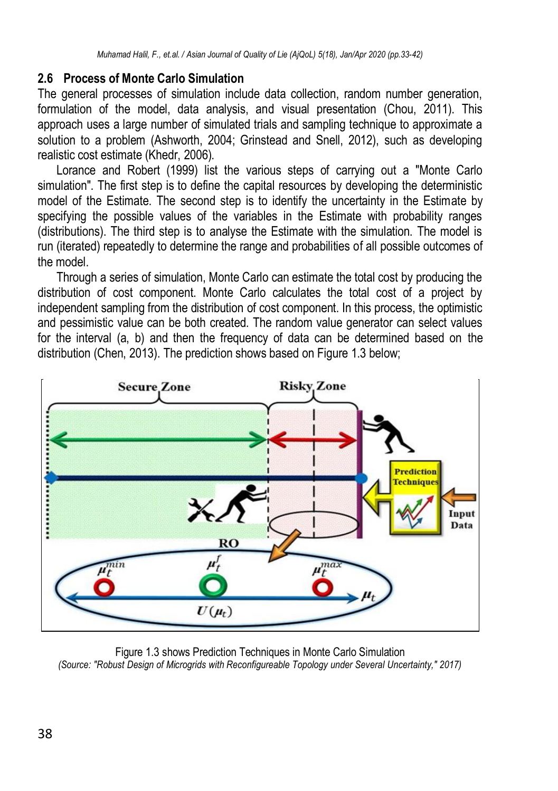### **2.6 Process of Monte Carlo Simulation**

The general processes of simulation include data collection, random number generation, formulation of the model, data analysis, and visual presentation (Chou, 2011). This approach uses a large number of simulated trials and sampling technique to approximate a solution to a problem (Ashworth, 2004; Grinstead and Snell, 2012), such as developing realistic cost estimate (Khedr, 2006).

Lorance and Robert (1999) list the various steps of carrying out a "Monte Carlo simulation". The first step is to define the capital resources by developing the deterministic model of the Estimate. The second step is to identify the uncertainty in the Estimate by specifying the possible values of the variables in the Estimate with probability ranges (distributions). The third step is to analyse the Estimate with the simulation. The model is run (iterated) repeatedly to determine the range and probabilities of all possible outcomes of the model.

Through a series of simulation, Monte Carlo can estimate the total cost by producing the distribution of cost component. Monte Carlo calculates the total cost of a project by independent sampling from the distribution of cost component. In this process, the optimistic and pessimistic value can be both created. The random value generator can select values for the interval (a, b) and then the frequency of data can be determined based on the distribution (Chen, 2013). The prediction shows based on Figure 1.3 below;



Figure 1.3 shows Prediction Techniques in Monte Carlo Simulation *(Source: "Robust Design of Microgrids with Reconfigureable Topology under Several Uncertainty," 2017)*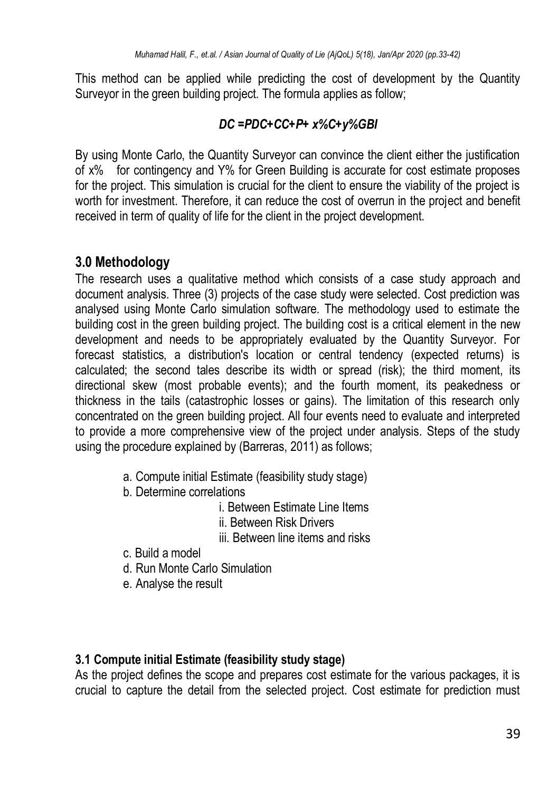This method can be applied while predicting the cost of development by the Quantity Surveyor in the green building project. The formula applies as follow:

# *DC =PDC+CC+P+ x%C+y%GBI*

By using Monte Carlo, the Quantity Surveyor can convince the client either the justification of x% for contingency and Y% for Green Building is accurate for cost estimate proposes for the project. This simulation is crucial for the client to ensure the viability of the project is worth for investment. Therefore, it can reduce the cost of overrun in the project and benefit received in term of quality of life for the client in the project development.

# **3.0 Methodology**

The research uses a qualitative method which consists of a case study approach and document analysis. Three (3) projects of the case study were selected. Cost prediction was analysed using Monte Carlo simulation software. The methodology used to estimate the building cost in the green building project. The building cost is a critical element in the new development and needs to be appropriately evaluated by the Quantity Surveyor. For forecast statistics, a distribution's location or central tendency (expected returns) is calculated; the second tales describe its width or spread (risk); the third moment, its directional skew (most probable events); and the fourth moment, its peakedness or thickness in the tails (catastrophic losses or gains). The limitation of this research only concentrated on the green building project. All four events need to evaluate and interpreted to provide a more comprehensive view of the project under analysis. Steps of the study using the procedure explained by (Barreras, 2011) as follows;

- a. Compute initial Estimate (feasibility study stage)
- b. Determine correlations
	- i. Between Estimate Line Items
	- ii. Between Risk Drivers
	- iii. Between line items and risks
- c. Build a model
- d. Run Monte Carlo Simulation
- e. Analyse the result

# **3.1 Compute initial Estimate (feasibility study stage)**

As the project defines the scope and prepares cost estimate for the various packages, it is crucial to capture the detail from the selected project. Cost estimate for prediction must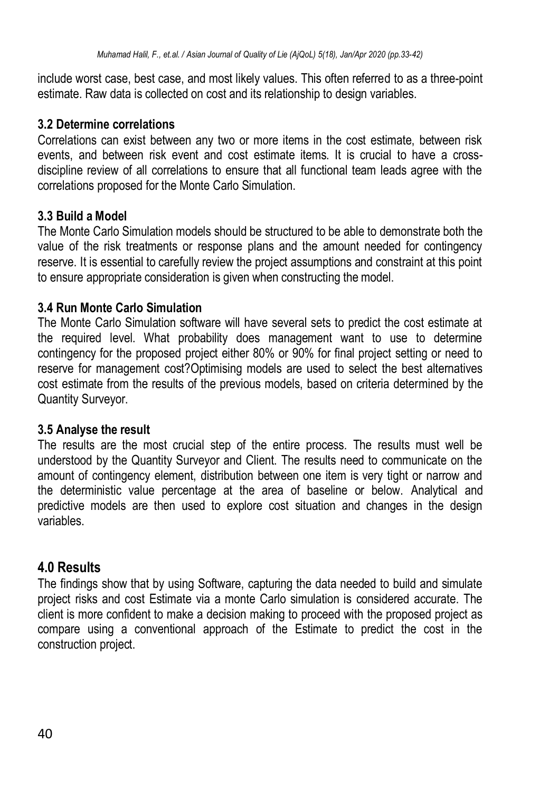include worst case, best case, and most likely values. This often referred to as a three-point estimate. Raw data is collected on cost and its relationship to design variables.

### **3.2 Determine correlations**

Correlations can exist between any two or more items in the cost estimate, between risk events, and between risk event and cost estimate items. It is crucial to have a crossdiscipline review of all correlations to ensure that all functional team leads agree with the correlations proposed for the Monte Carlo Simulation.

# **3.3 Build a Model**

The Monte Carlo Simulation models should be structured to be able to demonstrate both the value of the risk treatments or response plans and the amount needed for contingency reserve. It is essential to carefully review the project assumptions and constraint at this point to ensure appropriate consideration is given when constructing the model.

# **3.4 Run Monte Carlo Simulation**

The Monte Carlo Simulation software will have several sets to predict the cost estimate at the required level. What probability does management want to use to determine contingency for the proposed project either 80% or 90% for final project setting or need to reserve for management cost?Optimising models are used to select the best alternatives cost estimate from the results of the previous models, based on criteria determined by the Quantity Surveyor.

# **3.5 Analyse the result**

The results are the most crucial step of the entire process. The results must well be understood by the Quantity Surveyor and Client. The results need to communicate on the amount of contingency element, distribution between one item is very tight or narrow and the deterministic value percentage at the area of baseline or below. Analytical and predictive models are then used to explore cost situation and changes in the design variables.

# **4.0 Results**

The findings show that by using Software, capturing the data needed to build and simulate project risks and cost Estimate via a monte Carlo simulation is considered accurate. The client is more confident to make a decision making to proceed with the proposed project as compare using a conventional approach of the Estimate to predict the cost in the construction project.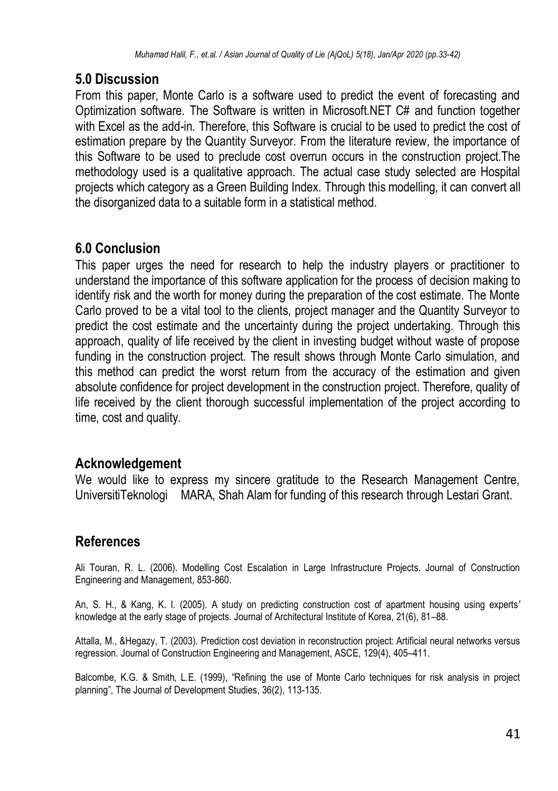# **5.0 Discussion**

From this paper, Monte Carlo is a software used to predict the event of forecasting and Optimization software. The Software is written in Microsoft.NET C# and function together with Excel as the add-in. Therefore, this Software is crucial to be used to predict the cost of estimation prepare by the Quantity Surveyor. From the literature review, the importance of this Software to be used to preclude cost overrun occurs in the construction project.The methodology used is a qualitative approach. The actual case study selected are Hospital projects which category as a Green Building Index. Through this modelling, it can convert all the disorganized data to a suitable form in a statistical method.

# **6.0 Conclusion**

This paper urges the need for research to help the industry players or practitioner to understand the importance of this software application for the process of decision making to identify risk and the worth for money during the preparation of the cost estimate. The Monte Carlo proved to be a vital tool to the clients, project manager and the Quantity Surveyor to predict the cost estimate and the uncertainty during the project undertaking. Through this approach, quality of life received by the client in investing budget without waste of propose funding in the construction project. The result shows through Monte Carlo simulation, and this method can predict the worst return from the accuracy of the estimation and given absolute confidence for project development in the construction project. Therefore, quality of life received by the client thorough successful implementation of the project according to time, cost and quality.

# **Acknowledgement**

We would like to express my sincere gratitude to the Research Management Centre, UniversitiTeknologi MARA, Shah Alam for funding of this research through Lestari Grant.

# **References**

Ali Touran, R. L. (2006). Modelling Cost Escalation in Large Infrastructure Projects. Journal of Construction Engineering and Management, 853-860.

An, S. H., & Kang, K. I. (2005). A study on predicting construction cost of apartment housing using experts' knowledge at the early stage of projects. Journal of Architectural Institute of Korea, 21(6), 81–88.

Attalla, M., &Hegazy, T. (2003). Prediction cost deviation in reconstruction project: Artificial neural networks versus regression. Journal of Construction Engineering and Management, ASCE, 129(4), 405–411.

Balcombe, K.G. & Smith, L.E. (1999), "Refining the use of Monte Carlo techniques for risk analysis in project planning", The Journal of Development Studies, 36(2), 113-135.